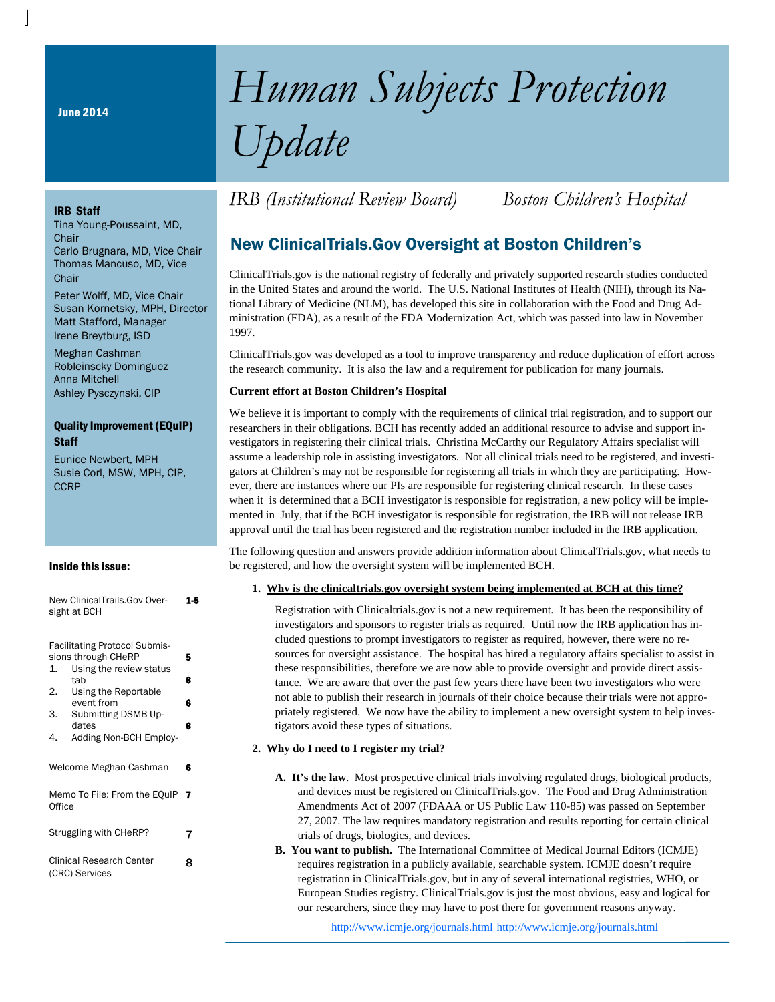June 2014

# *Human Subjects Protection Update*

#### IRB Staff

Tina Young-Poussaint, MD, **Chair** Carlo Brugnara, MD, Vice Chair Thomas Mancuso, MD, Vice **Chair** 

Peter Wolff, MD, Vice Chair Susan Kornetsky, MPH, Director Matt Stafford, Manager Irene Breytburg, ISD

Meghan Cashman Robleinscky Dominguez Anna Mitchell Ashley Pysczynski, CIP

#### Quality Improvement (EQuIP) **Staff**

Eunice Newbert, MPH Susie Corl, MSW, MPH, CIP, **CCRP** 

#### Inside this issue:

| New ClinicalTrails.Gov Over- | 1-5 |
|------------------------------|-----|
| sight at BCH                 |     |
|                              |     |

|                                 | <b>Facilitating Protocol Submis-</b> |   |  |  |  |
|---------------------------------|--------------------------------------|---|--|--|--|
|                                 | sions through CHeRP                  | 5 |  |  |  |
| 1.                              | Using the review status              |   |  |  |  |
|                                 | tab                                  | 6 |  |  |  |
| 2.                              | Using the Reportable                 |   |  |  |  |
|                                 | event from                           | 6 |  |  |  |
| 3.                              | Submitting DSMB Up-                  |   |  |  |  |
|                                 | dates                                | 6 |  |  |  |
| 4.                              | Adding Non-BCH Employ-               |   |  |  |  |
|                                 |                                      |   |  |  |  |
|                                 | Welcome Meghan Cashman               | 6 |  |  |  |
|                                 |                                      |   |  |  |  |
|                                 |                                      | 7 |  |  |  |
| Memo To File: From the EQuIP    |                                      |   |  |  |  |
| Office                          |                                      |   |  |  |  |
|                                 |                                      |   |  |  |  |
| Struggling with CHeRP?<br>7     |                                      |   |  |  |  |
|                                 |                                      |   |  |  |  |
|                                 |                                      | 8 |  |  |  |
| <b>Clinical Research Center</b> |                                      |   |  |  |  |
|                                 | (CRC) Services                       |   |  |  |  |

# *IRB (Institutional Review Board) Boston Children's Hospital*

# New ClinicalTrials.Gov Oversight at Boston Children's

ClinicalTrials.gov is the national registry of federally and privately supported research studies conducted in the United States and around the world. The U.S. National Institutes of Health (NIH), through its National Library of Medicine (NLM), has developed this site in collaboration with the Food and Drug Administration (FDA), as a result of the FDA Modernization Act, which was passed into law in November 1997.

ClinicalTrials.gov was developed as a tool to improve transparency and reduce duplication of effort across the research community. It is also the law and a requirement for publication for many journals.

#### **Current effort at Boston Children's Hospital**

We believe it is important to comply with the requirements of clinical trial registration, and to support our researchers in their obligations. BCH has recently added an additional resource to advise and support investigators in registering their clinical trials. Christina McCarthy our Regulatory Affairs specialist will assume a leadership role in assisting investigators. Not all clinical trials need to be registered, and investigators at Children's may not be responsible for registering all trials in which they are participating. However, there are instances where our PIs are responsible for registering clinical research. In these cases when it is determined that a BCH investigator is responsible for registration, a new policy will be implemented in July, that if the BCH investigator is responsible for registration, the IRB will not release IRB approval until the trial has been registered and the registration number included in the IRB application.

The following question and answers provide addition information about ClinicalTrials.gov, what needs to be registered, and how the oversight system will be implemented BCH.

#### **1. Why is the clinicaltrials.gov oversight system being implemented at BCH at this time?**

Registration with Clinicaltrials.gov is not a new requirement. It has been the responsibility of investigators and sponsors to register trials as required. Until now the IRB application has included questions to prompt investigators to register as required, however, there were no resources for oversight assistance. The hospital has hired a regulatory affairs specialist to assist in these responsibilities, therefore we are now able to provide oversight and provide direct assistance. We are aware that over the past few years there have been two investigators who were not able to publish their research in journals of their choice because their trials were not appropriately registered. We now have the ability to implement a new oversight system to help investigators avoid these types of situations.

#### **2. Why do I need to I register my trial?**

- **A. It's the law**. Most prospective clinical trials involving regulated drugs, biological products, and devices must be registered on ClinicalTrials.gov. The Food and Drug Administration Amendments Act of 2007 (FDAAA or US Public Law 110-85) was passed on September 27, 2007. The law requires mandatory registration and results reporting for certain clinical trials of drugs, biologics, and devices.
- **B. You want to publish.** The International Committee of Medical Journal Editors (ICMJE) requires registration in a publicly available, searchable system. ICMJE doesn't require registration in ClinicalTrials.gov, but in any of several international registries, WHO, or European Studies registry. ClinicalTrials.gov is just the most obvious, easy and logical for our researchers, since they may have to post there for government reasons anyway.

http://www.icmje.org/journals.html http://www.icmje.org/journals.html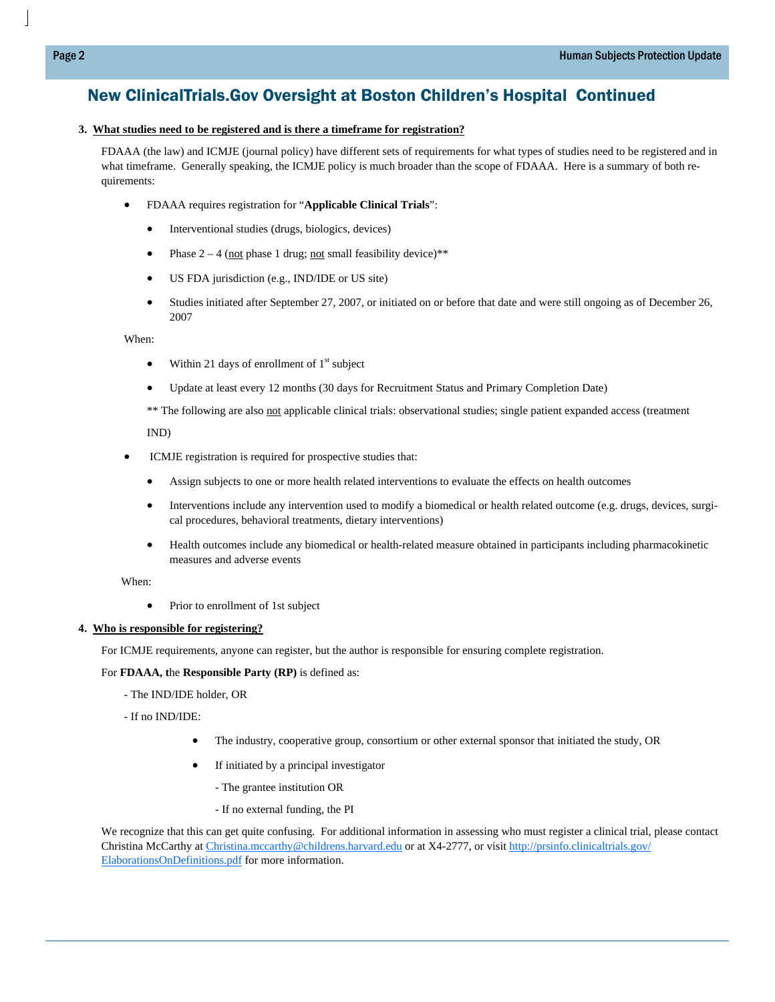# New ClinicalTrials.Gov Oversight at Boston Children's Hospital Continued

#### **3. What studies need to be registered and is there a timeframe for registration?**

FDAAA (the law) and ICMJE (journal policy) have different sets of requirements for what types of studies need to be registered and in what timeframe. Generally speaking, the ICMJE policy is much broader than the scope of FDAAA. Here is a summary of both requirements:

- FDAAA requires registration for "**Applicable Clinical Trials**":
	- Interventional studies (drugs, biologics, devices)
	- Phase  $2 4$  (not phase 1 drug; not small feasibility device)\*\*
	- US FDA jurisdiction (e.g., IND/IDE or US site)
	- Studies initiated after September 27, 2007, or initiated on or before that date and were still ongoing as of December 26, 2007

When:

- Within 21 days of enrollment of  $1<sup>st</sup>$  subject
- Update at least every 12 months (30 days for Recruitment Status and Primary Completion Date)

\*\* The following are also not applicable clinical trials: observational studies; single patient expanded access (treatment

IND)

- ICMJE registration is required for prospective studies that:
	- Assign subjects to one or more health related interventions to evaluate the effects on health outcomes
	- Interventions include any intervention used to modify a biomedical or health related outcome (e.g. drugs, devices, surgical procedures, behavioral treatments, dietary interventions)
	- Health outcomes include any biomedical or health-related measure obtained in participants including pharmacokinetic measures and adverse events

When:

Prior to enrollment of 1st subject

#### **4. Who is responsible for registering?**

For ICMJE requirements, anyone can register, but the author is responsible for ensuring complete registration.

For **FDAAA, t**he **Responsible Party (RP)** is defined as:

- The IND/IDE holder, OR

- If no IND/IDE:

- The industry, cooperative group, consortium or other external sponsor that initiated the study, OR
- If initiated by a principal investigator
	- The grantee institution OR
	- If no external funding, the PI

We recognize that this can get quite confusing. For additional information in assessing who must register a clinical trial, please contact Christina McCarthy at Christina.mccarthy@childrens.harvard.edu or at X4-2777, or visit http://prsinfo.clinicaltrials.gov/ ElaborationsOnDefinitions.pdf for more information.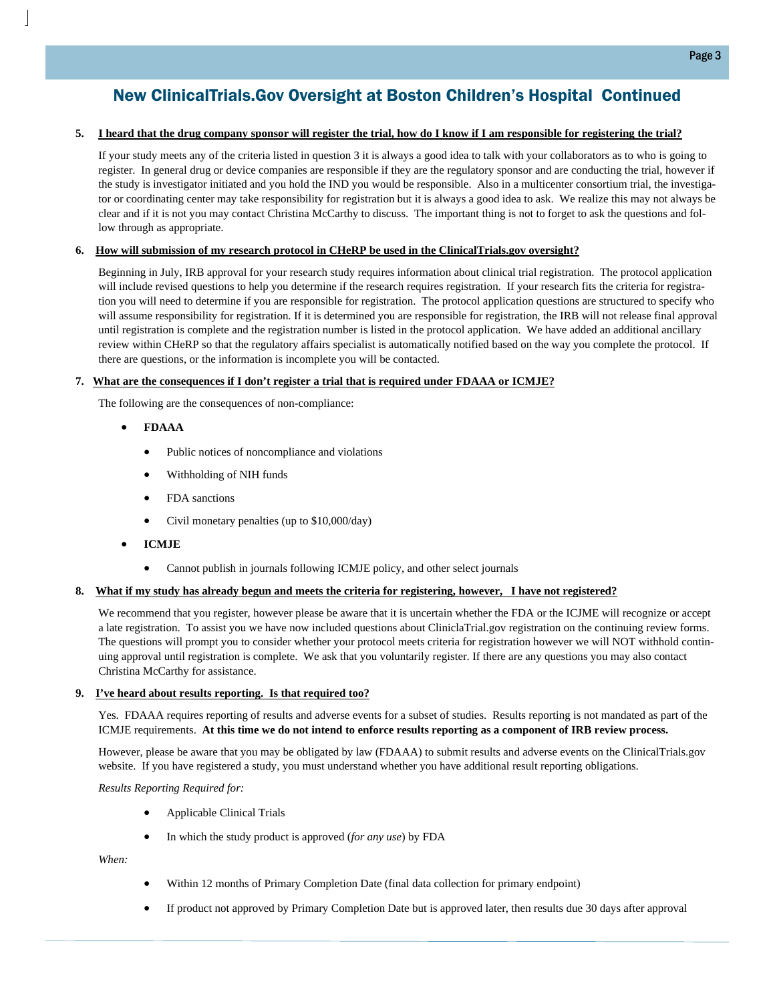# New ClinicalTrials.Gov Oversight at Boston Children's Hospital Continued

#### **5. I heard that the drug company sponsor will register the trial, how do I know if I am responsible for registering the trial?**

If your study meets any of the criteria listed in question 3 it is always a good idea to talk with your collaborators as to who is going to register. In general drug or device companies are responsible if they are the regulatory sponsor and are conducting the trial, however if the study is investigator initiated and you hold the IND you would be responsible. Also in a multicenter consortium trial, the investigator or coordinating center may take responsibility for registration but it is always a good idea to ask. We realize this may not always be clear and if it is not you may contact Christina McCarthy to discuss. The important thing is not to forget to ask the questions and follow through as appropriate.

#### **6. How will submission of my research protocol in CHeRP be used in the ClinicalTrials.gov oversight?**

Beginning in July, IRB approval for your research study requires information about clinical trial registration. The protocol application will include revised questions to help you determine if the research requires registration. If your research fits the criteria for registration you will need to determine if you are responsible for registration. The protocol application questions are structured to specify who will assume responsibility for registration. If it is determined you are responsible for registration, the IRB will not release final approval until registration is complete and the registration number is listed in the protocol application. We have added an additional ancillary review within CHeRP so that the regulatory affairs specialist is automatically notified based on the way you complete the protocol. If there are questions, or the information is incomplete you will be contacted.

#### **7. What are the consequences if I don't register a trial that is required under FDAAA or ICMJE?**

The following are the consequences of non-compliance:

- **FDAAA**
	- Public notices of noncompliance and violations
	- Withholding of NIH funds
	- FDA sanctions
	- Civil monetary penalties (up to \$10,000/day)
- **ICMJE**
	- Cannot publish in journals following ICMJE policy, and other select journals

#### **8. What if my study has already begun and meets the criteria for registering, however, I have not registered?**

We recommend that you register, however please be aware that it is uncertain whether the FDA or the ICJME will recognize or accept a late registration. To assist you we have now included questions about CliniclaTrial.gov registration on the continuing review forms. The questions will prompt you to consider whether your protocol meets criteria for registration however we will NOT withhold continuing approval until registration is complete. We ask that you voluntarily register. If there are any questions you may also contact Christina McCarthy for assistance.

#### **9. I've heard about results reporting. Is that required too?**

Yes. FDAAA requires reporting of results and adverse events for a subset of studies. Results reporting is not mandated as part of the ICMJE requirements. **At this time we do not intend to enforce results reporting as a component of IRB review process.** 

However, please be aware that you may be obligated by law (FDAAA) to submit results and adverse events on the ClinicalTrials.gov website. If you have registered a study, you must understand whether you have additional result reporting obligations.

#### *Results Reporting Required for:*

- Applicable Clinical Trials
- In which the study product is approved (*for any use*) by FDA

*When:* 

- Within 12 months of Primary Completion Date (final data collection for primary endpoint)
- If product not approved by Primary Completion Date but is approved later, then results due 30 days after approval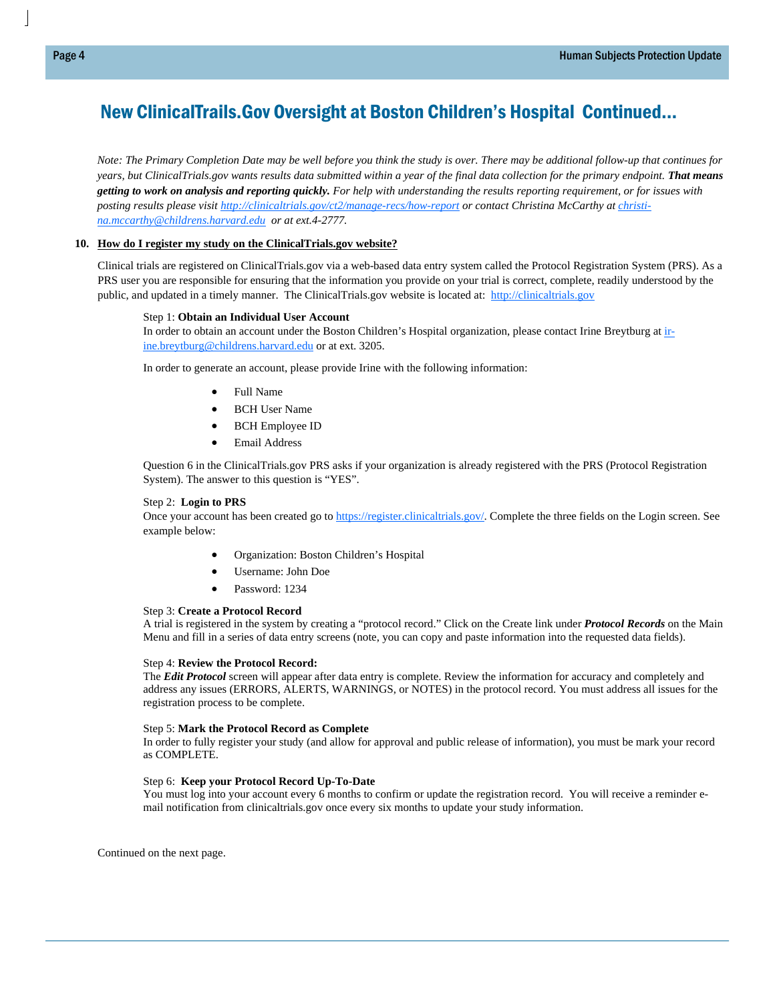# New ClinicalTrails.Gov Oversight at Boston Children's Hospital Continued...

*Note: The Primary Completion Date may be well before you think the study is over. There may be additional follow-up that continues for years, but ClinicalTrials.gov wants results data submitted within a year of the final data collection for the primary endpoint. That means getting to work on analysis and reporting quickly. For help with understanding the results reporting requirement, or for issues with posting results please visit http://clinicaltrials.gov/ct2/manage-recs/how-report or contact Christina McCarthy at christina.mccarthy@childrens.harvard.edu or at ext.4-2777.* 

#### **10. How do I register my study on the ClinicalTrials.gov website?**

Clinical trials are registered on ClinicalTrials.gov via a web-based data entry system called the Protocol Registration System (PRS). As a PRS user you are responsible for ensuring that the information you provide on your trial is correct, complete, readily understood by the public, and updated in a timely manner. The ClinicalTrials.gov website is located at: http://clinicaltrials.gov

#### Step 1: **Obtain an Individual User Account**

In order to obtain an account under the Boston Children's Hospital organization, please contact Irine Breytburg at inine.breytburg@childrens.harvard.edu or at ext. 3205.

In order to generate an account, please provide Irine with the following information:

- Full Name
- BCH User Name
- BCH Employee ID
- Email Address

Question 6 in the ClinicalTrials.gov PRS asks if your organization is already registered with the PRS (Protocol Registration System). The answer to this question is "YES".

#### Step 2: **Login to PRS**

Once your account has been created go to https://register.clinicaltrials.gov/. Complete the three fields on the Login screen. See example below:

- Organization: Boston Children's Hospital
- Username: John Doe
- Password: 1234

#### Step 3: **Create a Protocol Record**

A trial is registered in the system by creating a "protocol record." Click on the Create link under *Protocol Records* on the Main Menu and fill in a series of data entry screens (note, you can copy and paste information into the requested data fields).

#### Step 4: **Review the Protocol Record:**

The *Edit Protocol* screen will appear after data entry is complete. Review the information for accuracy and completely and address any issues (ERRORS, ALERTS, WARNINGS, or NOTES) in the protocol record. You must address all issues for the registration process to be complete.

#### Step 5: **Mark the Protocol Record as Complete**

In order to fully register your study (and allow for approval and public release of information), you must be mark your record as COMPLETE.

#### Step 6: **Keep your Protocol Record Up-To-Date**

You must log into your account every 6 months to confirm or update the registration record. You will receive a reminder email notification from clinicaltrials.gov once every six months to update your study information.

Continued on the next page.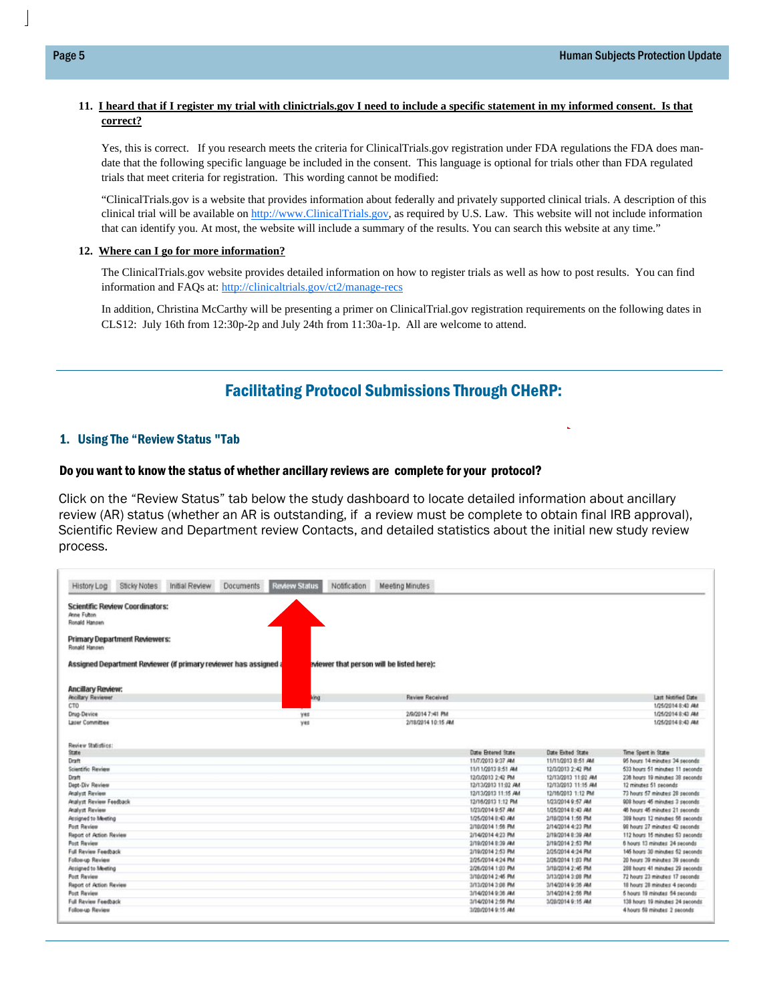#### **11. I heard that if I register my trial with clinictrials.gov I need to include a specific statement in my informed consent. Is that correct?**

Yes, this is correct. If you research meets the criteria for ClinicalTrials.gov registration under FDA regulations the FDA does mandate that the following specific language be included in the consent. This language is optional for trials other than FDA regulated trials that meet criteria for registration. This wording cannot be modified:

"ClinicalTrials.gov is a website that provides information about federally and privately supported clinical trials. A description of this clinical trial will be available on http://www.ClinicalTrials.gov, as required by U.S. Law. This website will not include information that can identify you. At most, the website will include a summary of the results. You can search this website at any time."

#### **12. Where can I go for more information?**

The ClinicalTrials.gov website provides detailed information on how to register trials as well as how to post results. You can find information and FAQs at: http://clinicaltrials.gov/ct2/manage-recs

In addition, Christina McCarthy will be presenting a primer on ClinicalTrial.gov registration requirements on the following dates in CLS12: July 16th from 12:30p-2p and July 24th from 11:30a-1p. All are welcome to attend.

# Facilitating Protocol Submissions Through CHeRP:

#### 1. Using The "Review Status "Tab

#### Do you want to know the status of whether ancillary reviews are complete for your protocol?

Click on the "Review Status" tab below the study dashboard to locate detailed information about ancillary review (AR) status (whether an AR is outstanding, if a review must be complete to obtain final IRB approval), Scientific Review and Department review Contacts, and detailed statistics about the initial new study review process.

| History Log                  | <b>Sticky Notes</b>                    | Initial Review                                                   | <b>Documents</b> | <b>Review Status</b> | Notification | <b>Meeting Minutes</b>                    |                     |                     |                                 |
|------------------------------|----------------------------------------|------------------------------------------------------------------|------------------|----------------------|--------------|-------------------------------------------|---------------------|---------------------|---------------------------------|
| Anne Fulton<br>Ronald Hansen | <b>Scientific Review Coordinators:</b> |                                                                  |                  |                      |              |                                           |                     |                     |                                 |
| Ronald Hansen                | <b>Primary Department Reviewers:</b>   |                                                                  |                  |                      |              |                                           |                     |                     |                                 |
|                              |                                        | Assigned Department Reviewer (if primary reviewer has assigned a |                  |                      |              | eviewer that person will be listed here): |                     |                     |                                 |
| <b>Ancillary Review:</b>     |                                        |                                                                  |                  |                      |              |                                           |                     |                     |                                 |
| <b>Ancillary Reviewer</b>    |                                        |                                                                  |                  | king                 |              | <b>Review Received</b>                    |                     |                     | Last Notified Date              |
| CTO                          |                                        |                                                                  |                  |                      |              |                                           |                     |                     | 1/25/2014 8:43 AM               |
| Drug-Device                  |                                        |                                                                  |                  | yes                  |              | 2/9/2014 7:41 PM                          |                     |                     | 1/25/2014 8:43 AM               |
| Laser Committee              |                                        |                                                                  |                  | yes                  |              | 2/18/2014 10:15 AM                        |                     |                     | 1/25/2014 8:40 AM               |
| Review Statistics:           |                                        |                                                                  |                  |                      |              |                                           |                     |                     |                                 |
| State                        |                                        |                                                                  |                  |                      |              |                                           | Date Entered State  | Date Exted State    | Time Spent in State             |
| Draft                        |                                        |                                                                  |                  |                      |              |                                           | 11/7/2013 9:37 AM   | 11/11/2013 8:51 AM  | 95 hours 14 minutes 34 seconds  |
| Scientific Review            |                                        |                                                                  |                  |                      |              |                                           | 11/11/2013 8:51 AM  | 12/3/2013 2:42 PM   | 533 hours 51 minutes 11 seconds |
| Draft                        |                                        |                                                                  |                  |                      |              |                                           | 12/3/2013 2:42 PM   | 12/13/2013 11:02 AM | 238 hours 19 minutes 38 seconds |
| Dept-Div Review              |                                        |                                                                  |                  |                      |              |                                           | 12/13/2013 11:02 AM | 12/13/2013 11:15 AM | 12 minutes 51 seconds           |
| <b>Analyst Review</b>        |                                        |                                                                  |                  |                      |              |                                           | 12/13/2013 11:15 AM | 12/16/2013 1:12 PM  | 73 hours 57 minutes 28 seconds  |
| Analyst Review Feedback      |                                        |                                                                  |                  |                      |              |                                           | 12/16/2013 1:12 PM  | 1/23/2014 9:57 AM   | 908 hours 45 minutes 3 seconds  |
| <b>Analyst Review</b>        |                                        |                                                                  |                  |                      |              |                                           | 1/23/2014 9:57 AM   | 1/25/2014 8:43 AM   | 46 hours 46 minutes 21 seconds  |
| Arsigned to Meeting          |                                        |                                                                  |                  |                      |              |                                           | 1/25/2014 0:43 AM   | 2/10/2014 1:56 PM   | 389 hours 12 minutes 56 seconds |
| Post Review                  |                                        |                                                                  |                  |                      |              |                                           | 2/10/2014 1:56 PM   | 2/14/2014 4:23 PM   | 98 hours 27 minutes 42 seconds  |
| Report of Action Review      |                                        |                                                                  |                  |                      |              |                                           | 2/14/2014 4:23 PM   | 2/19/2014 8:39 AM   | 112 hours 15 minutes 53 seconds |
| <b>Post Review</b>           |                                        |                                                                  |                  |                      |              |                                           | 2/19/2014 8:39 AM   | 2/19/2014 2:53 PM   | 6 hours 13 minutes 24 seconds   |
| Full Review Feedback         |                                        |                                                                  |                  |                      |              |                                           | 2/19/2014 2:53 PM   | 2/25/2014 4:24 PM   | 145 hours 30 minutes 52 seconds |
| Follow-up Review             |                                        |                                                                  |                  |                      |              |                                           | 2/25/2014 4:24 PM   | 2/26/2014 1:03 PM   | 20 hours 39 minutes 39 seconds  |
| Assigned to Meeting          |                                        |                                                                  |                  |                      |              |                                           | 2/26/2014 1:03 PM   | 3/10/2014 2:45 PM   | 288 hours 41 minutes 29 seconds |
| <b>Port Review</b>           |                                        |                                                                  |                  |                      |              |                                           | 3/10/2014 2:45 PM   | 3/13/2014 3:08 PM   | 72 hours 23 minutes 17 seconds  |
| Report of Action Review      |                                        |                                                                  |                  |                      |              |                                           | 3/13/2014 3:08 PM   | 3/14/2014 9:36 AM   | 18 hours 28 minutes 4 seconds   |
| <b>Post Review</b>           |                                        |                                                                  |                  |                      |              |                                           | 3/14/2014 9:36 AM   | 3/14/2014 2:56 PM   | 5 hours 19 minutes 54 seconds   |
|                              |                                        |                                                                  |                  |                      |              |                                           |                     |                     |                                 |
| Full Review Feedback         |                                        |                                                                  |                  |                      |              |                                           | 3/14/2014 2:56 PM   | 3/20/2014 9:15 AM   | 138 hours 19 minutes 24 seconds |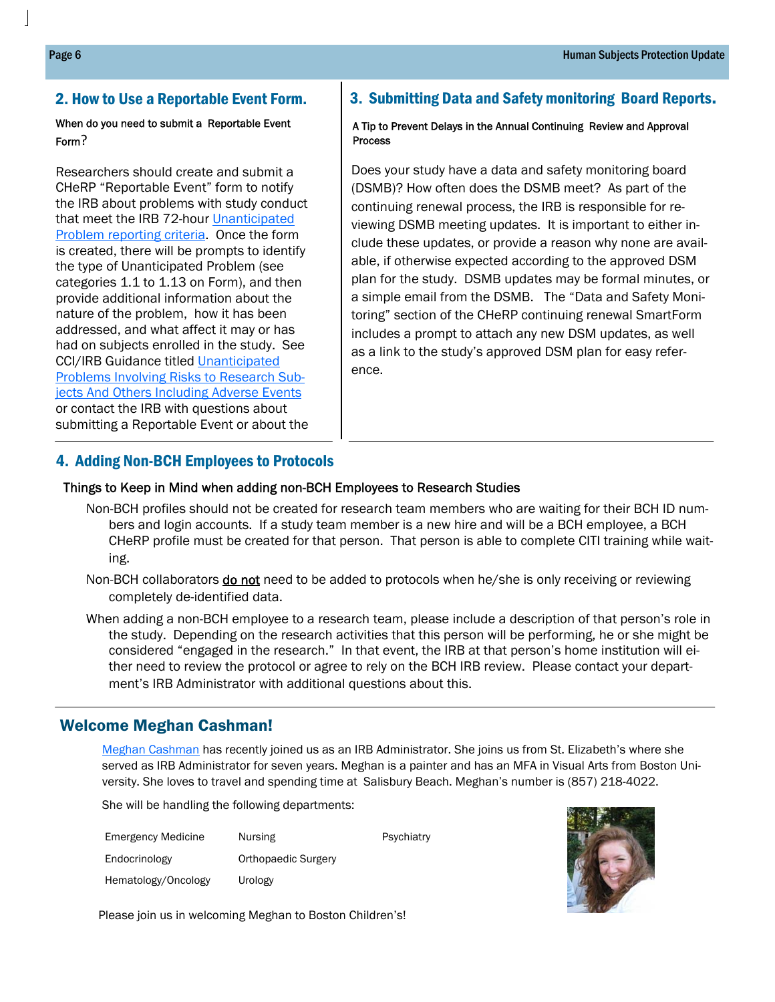## When do you need to submit a Reportable Event Form?

Researchers should create and submit a CHeRP "Reportable Event" form to notify the IRB about problems with study conduct that meet the IRB 72-hour Unanticipated Problem reporting criteria. Once the form is created, there will be prompts to identify the type of Unanticipated Problem (see categories 1.1 to 1.13 on Form), and then provide additional information about the nature of the problem, how it has been addressed, and what affect it may or has had on subjects enrolled in the study. See CCI/IRB Guidance titled Unanticipated Problems Involving Risks to Research Subjects And Others Including Adverse Events or contact the IRB with questions about submitting a Reportable Event or about the

# 2. How to Use a Reportable Event Form.  $\vert$  3. Submitting Data and Safety monitoring Board Reports.

#### A Tip to Prevent Delays in the Annual Continuing Review and Approval Process

Does your study have a data and safety monitoring board (DSMB)? How often does the DSMB meet? As part of the continuing renewal process, the IRB is responsible for reviewing DSMB meeting updates. It is important to either include these updates, or provide a reason why none are available, if otherwise expected according to the approved DSM plan for the study. DSMB updates may be formal minutes, or a simple email from the DSMB. The "Data and Safety Monitoring" section of the CHeRP continuing renewal SmartForm includes a prompt to attach any new DSM updates, as well as a link to the study's approved DSM plan for easy reference.

## 4. Adding Non-BCH Employees to Protocols

## Things to Keep in Mind when adding non-BCH Employees to Research Studies

- Non-BCH profiles should not be created for research team members who are waiting for their BCH ID numbers and login accounts. If a study team member is a new hire and will be a BCH employee, a BCH CHeRP profile must be created for that person. That person is able to complete CITI training while waiting.
- Non-BCH collaborators **do not** need to be added to protocols when he/she is only receiving or reviewing completely de-identified data.

When adding a non-BCH employee to a research team, please include a description of that person's role in the study. Depending on the research activities that this person will be performing, he or she might be considered "engaged in the research." In that event, the IRB at that person's home institution will either need to review the protocol or agree to rely on the BCH IRB review. Please contact your department's IRB Administrator with additional questions about this.

# Welcome Meghan Cashman!

Meghan Cashman has recently joined us as an IRB Administrator. She joins us from St. Elizabeth's where she served as IRB Administrator for seven years. Meghan is a painter and has an MFA in Visual Arts from Boston University. She loves to travel and spending time at Salisbury Beach. Meghan's number is (857) 218-4022.

She will be handling the following departments:

| <b>Emergency Medicine</b> | Nursing             | Psychiatry |
|---------------------------|---------------------|------------|
| Endocrinology             | Orthopaedic Surgery |            |
| Hematology/Oncology       | Urology             |            |



Please join us in welcoming Meghan to Boston Children's!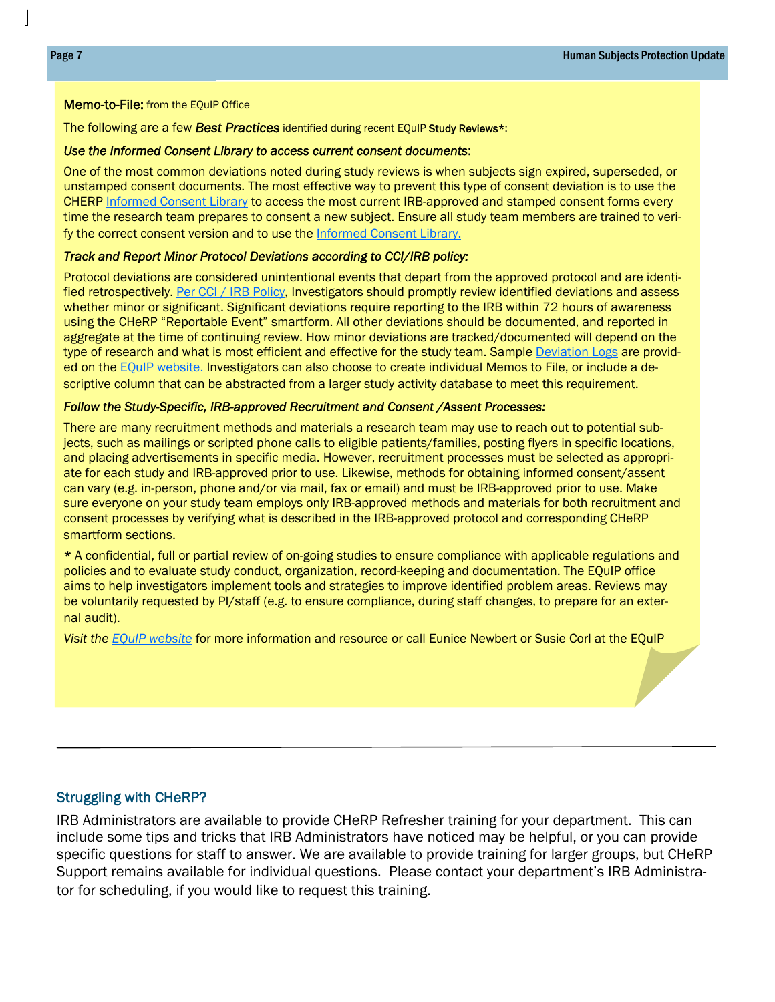#### Memo-to-File: from the EQuIP Office

The following are a few *Best Practices* identified during recent EQuIP Study Reviews\*:

#### *Use the Informed Consent Library to access current consent documents*:

One of the most common deviations noted during study reviews is when subjects sign expired, superseded, or unstamped consent documents. The most effective way to prevent this type of consent deviation is to use the CHERP Informed Consent Library to access the most current IRB-approved and stamped consent forms every time the research team prepares to consent a new subject. Ensure all study team members are trained to verify the correct consent version and to use the Informed Consent Library.

#### *Track and Report Minor Protocol Deviations according to CCI/IRB policy:*

Protocol deviations are considered unintentional events that depart from the approved protocol and are identified retrospectively. Per CCI / IRB Policy, Investigators should promptly review identified deviations and assess whether minor or significant. Significant deviations require reporting to the IRB within 72 hours of awareness using the CHeRP "Reportable Event" smartform. All other deviations should be documented, and reported in aggregate at the time of continuing review. How minor deviations are tracked/documented will depend on the type of research and what is most efficient and effective for the study team. Sample Deviation Logs are provided on the EQuIP website. Investigators can also choose to create individual Memos to File, or include a descriptive column that can be abstracted from a larger study activity database to meet this requirement.

#### *Follow the Study-Specific, IRB-approved Recruitment and Consent /Assent Processes:*

There are many recruitment methods and materials a research team may use to reach out to potential subjects, such as mailings or scripted phone calls to eligible patients/families, posting flyers in specific locations, and placing advertisements in specific media. However, recruitment processes must be selected as appropriate for each study and IRB-approved prior to use. Likewise, methods for obtaining informed consent/assent can vary (e.g. in-person, phone and/or via mail, fax or email) and must be IRB-approved prior to use. Make sure everyone on your study team employs only IRB-approved methods and materials for both recruitment and consent processes by verifying what is described in the IRB-approved protocol and corresponding CHeRP smartform sections.

\* A confidential, full or partial review of on-going studies to ensure compliance with applicable regulations and policies and to evaluate study conduct, organization, record-keeping and documentation. The EQuIP office aims to help investigators implement tools and strategies to improve identified problem areas. Reviews may be voluntarily requested by PI/staff (e.g. to ensure compliance, during staff changes, to prepare for an external audit).

*Visit the EQuIP website* for more information and resource or call Eunice Newbert or Susie Corl at the EQuIP

#### Struggling with CHeRP?

IRB Administrators are available to provide CHeRP Refresher training for your department. This can include some tips and tricks that IRB Administrators have noticed may be helpful, or you can provide specific questions for staff to answer. We are available to provide training for larger groups, but CHeRP Support remains available for individual questions. Please contact your department's IRB Administrator for scheduling, if you would like to request this training.